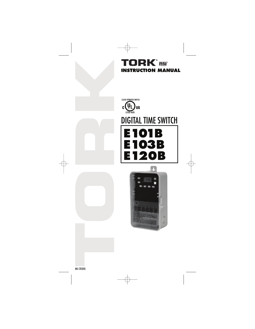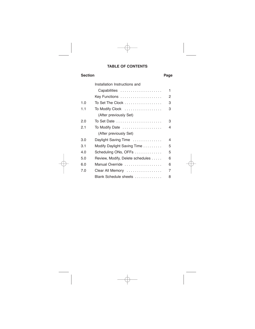# **TABLE OF CONTENTS**

# **Section Page**

|     | Installation Instructions and            |   |
|-----|------------------------------------------|---|
|     | Capabilities                             | 1 |
|     | Key Functions                            | 2 |
| 1.0 | To Set The Clock                         | 3 |
| 1.1 | To Modify Clock                          | 3 |
|     | (After previously Set)                   |   |
| 2.0 | To Set Date                              | З |
| 2.1 | To Modify Date                           | 4 |
|     | (After previously Set)                   |   |
| 3.0 | Daylight Saving Time                     | 4 |
| 3.1 | Modify Daylight Saving Time              | 5 |
| 4.0 | Scheduling ONs, OFFs $\dots \dots \dots$ | 5 |
| 5.0 | Review, Modify, Delete schedules         | 6 |
| 6.0 | Manual Override                          | 6 |
| 7.0 | Clear All Memory                         | 7 |
|     | Blank Schedule sheets                    | 8 |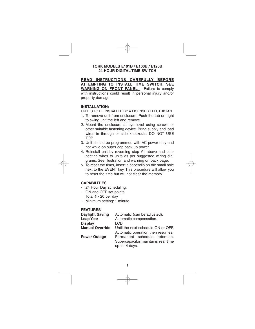# **TORK MODELS E101B / E103B / E120B 24 HOUR DIGITAL TIME SWITCH**

**READ INSTRUCTIONS CAREFULLY BEFORE ATTEMPTING TO INSTALL TIME SWITCH. SEE WARNING ON FRONT PANEL** – Failure to comply with instructions could result in personal injury and/or property damage.

### **INSTALLATION:**

UNIT IS TO BE INSTALLED BY A LICENSED ELECTRICIAN

- 1. To remove unit from enclosure: Push the tab on right to swing unit the left and remove.
- 2. Mount the enclosure at eye level using screws or other suitable fastening device. Bring supply and load wires in through or side knockouts. DO NOT USE TOP.
- 3. Unit should be programmed with AC power only and not while on super cap back up power.
- 4. Reinstall unit by reversing step #1 above and connecting wires to units as per suggested wiring diagrams. See illustration and warning on back page.
- 5. To reset the timer, insert a paperclip on the small hole next to the EVENT key. This procedure will allow you to reset the time but will not clear the memory.

#### **CAPABILITIES**

- 24 Hour Day scheduling.
- ON and OFF set points
- Total  $# 20$  per day
- Minimum setting: 1 minute

#### **FEATURES**

| Automatic (can be adjusted).       |  |  |
|------------------------------------|--|--|
| Automatic compensation.            |  |  |
| I CD                               |  |  |
| Until the next schedule ON or OFF. |  |  |
| Automatic operation then resumes.  |  |  |
| Permanent schedule retention.      |  |  |
| Supercapacitor maintains real time |  |  |
| up to 4 days.                      |  |  |
|                                    |  |  |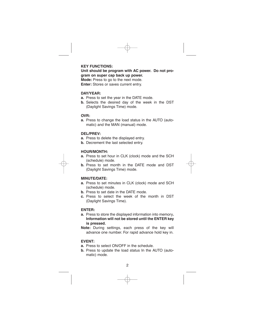# **KEY FUNCTIONS:**

**Unit should be program with AC power. Do not program on super cap back up power. Mode:** Press to go to the next mode. **Enter:** Stores or saves current entry.

#### **DAY/YEAR:**

- **a.** Press to set the year in the DATE mode.
- **b.** Selects the desired day of the week in the DST (Daylight Savings Time) mode.

#### **OVR:**

**a.** Press to change the load status in the AUTO (automatic) and the MAN (manual) mode.

#### **DEL/PREV:**

- **a.** Press to delete the displayed entry.
- **b.** Decrement the last selected entry.

# **HOUR/MONTH:**

- **a.** Press to set hour in CLK (clock) mode and the SCH (schedule) mode.
- **b.** Press to set month in the DATE mode and DST (Daylight Savings Time) mode.

## **MINUTE/DATE:**

- **a.** Press to set minutes in CLK (clock) mode and SCH (schedule) mode.
- **b.** Press to set date in the DATE mode.
- **c.** Press to select the week of the month in DST (Daylight Savings Time).

#### **ENTER:**

- **a.** Press to store the displayed information into memory**. Information will not be stored until the ENTER key is pressed.**
- **Note:** During settings, each press of the key will advance one number. For rapid advance hold key in.

### **EVENT:**

- **a.** Press to select ON/OFF in the schedule.
- **b.** Press to update the load status In the AUTO (automatic) mode.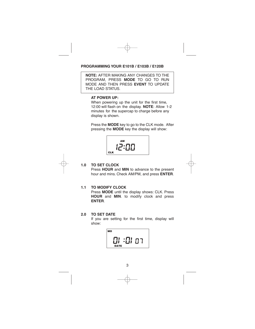# **PROGRAMMING YOUR E101B / E103B / E120B**

**NOTE:** AFTER MAKING ANY CHANGES TO THE PROGRAM, PRESS **MODE** TO GO TO RUN MODE AND THEN PRESS **EVENT** TO UPDATE THE LOAD STATUS.

# **AT POWER UP:**

When powering up the unit for the first time, 12:00 will flash on the display. **NOTE**: Allow 1-2 minutes for the supercap to charge before any display is shown.

Press the **MODE** key to go to the CLK mode. After pressing the **MODE** key the display will show:





# **1.0 TO SET CLOCK**

Press **HOUR** and **MIN** to advance to the present hour and mins. Check AM/PM, and press **ENTER**.

## **1.1 TO MODIFY CLOCK**

Press **MODE** until the display shows: CLK. Press **HOUR** and **MIN**. to modify clock and press **ENTER**.

# **2.0 TO SET DATE**

If you are setting for the first time, display will show:

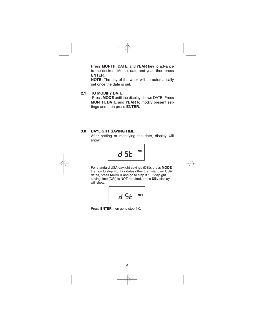Press **MONTH, DATE,** and **YEAR key** to advance to the desired Month, date and year, then press **ENTER**.

**NOTE:** The day of the week will be automatically set once the date is set.

# **2.1 TO MODIFY DATE**

Press **MODE** until the display shows DATE. Press **MONTH, DATE** and **YEAR** to modify present settings and then press **ENTER**.

# **3.0 DAYLIGHT SAVING TIME**

After setting or modifying the date, display will show:



For standard USA daylight savings (DSt), press **MODE** then go to step 4.0. For dates other than standard USA dates, press **MONTH** and go to step 3.1. If daylight saving time (DSt) is NOT required, press **DEL** display will show:



Press **ENTER** then go to step 4.0.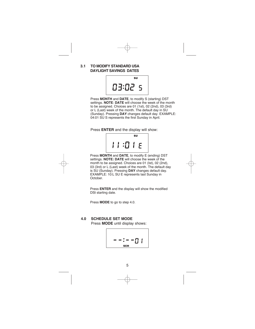# **3.1 TO MODIFY STANDARD USA DAYLIGHT SAVINGS DATES**



Press **MONTH** and **DATE**, to modify S (starting) DST settings. **NOTE**: **DATE** will choose the week of the month to be assigned. Choices are 01 (1st), 02 (2nd), 03 (3rd) or L (Last) week of the month. The default day in SU (Sunday). Pressing **DAY** changes default day. EXAMPLE: 04:01 SU S represents the first Sunday in April.

Press **ENTER** and the display will show:



Press **MONTH** and **DATE**, to modify E (ending) DST settings. **NOTE: DATE** will choose the week of the month to be assigned. Choices are 01 (Ist), 02 (2nd), 03 (3rd) or L (Last) week of the month. The default day is SU (Sunday). Pressing **DAY** changes default day. EXAMPLE: 10:L SU E represents last Sunday in October.

Press **ENTER** and the display will show the modified DSt starting date.

Press **MODE** to go to step 4.0.

# **4.0 SCHEDULE SET MODE**

Press **MODE** until display shows:

$$
--:--[] |
$$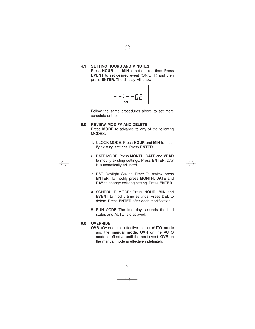**4.1 SETTING HOURS AND MINUTES**  Press **HOUR** and **MIN** to set desired time. Press **EVENT** to set desired event (ON/OFF) and then press **ENTER.** The display will show:

$$
--:--02
$$

Follow the same procedures above to set more schedule entries.

# **5.0 REVIEW, MODIFY AND DELETE**

Press **MODE** to advance to any of the following MODES:

- 1. CLOCK MODE: Press **HOUR** and **MIN** to modify existing settings. Press **ENTER.**
- 2. DATE MODE: Press **MONTH**, **DATE** and **YEAR** to modify existing settings. Press **ENTER.** DAY is automatically adjusted.
- 3. DST Daylight Saving Time: To review press **ENTER.** To modify press **MONTH, DATE** and **DAY** to change existing setting. Press **ENTER.**
- 4. SCHEDULE MODE: Press **HOUR**, **MIN** and **EVENT** to modify time settings. Press **DEL** to delete. Press **ENTER** after each modification.
- 5. RUN MODE: The time, day, seconds, the load status and AUTO is displayed.

# **6.0 OVERRIDE**

**OVR** (Override) is effective in the **AUTO mode** and the **manual mode. OVR** on the AUTO mode is effective until the next event. **OVR** on the manual mode is effective indefinitely.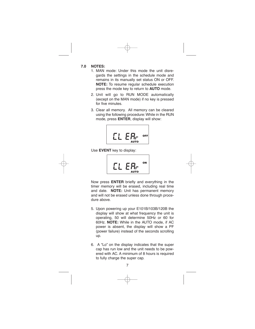# **7.0 NOTES:**

- 1. MAN mode: Under this mode the unit disregards the settings in the schedule mode and remains in its manually set status ON or OFF. **NOTE:** To resume regular schedule execution press the mode key to return to **AUTO** mode.
- 2. Unit will go to RUN MODE automatically (except on the MAN mode) if no key is pressed for five minutes.
- 3. Clear all memory. All memory can be cleared using the following procedure:While in the RUN mode, press **ENTER**, display will show:



Use **EVENT** key to display:



Now press **ENTER** briefly and everything in the timer memory will be erased, including real time and date. **NOTE:** Unit has permanent memory and will not be erased unless done through procedure above.

- 5. Upon powering up your E101B/103B/120B the display will show at what frequency the unit is operating, 50 will determine 50Hz or 60 for 60Hz. **NOTE:** While in the AUTO mode, if AC power is absent, the display will show a PF (power failure) instead of the seconds scrolling up.
- 6. A "Lo" on the display indicates that the super cap has run low and the unit needs to be powered with AC. A minimum of 8 hours is required to fully charge the super cap.